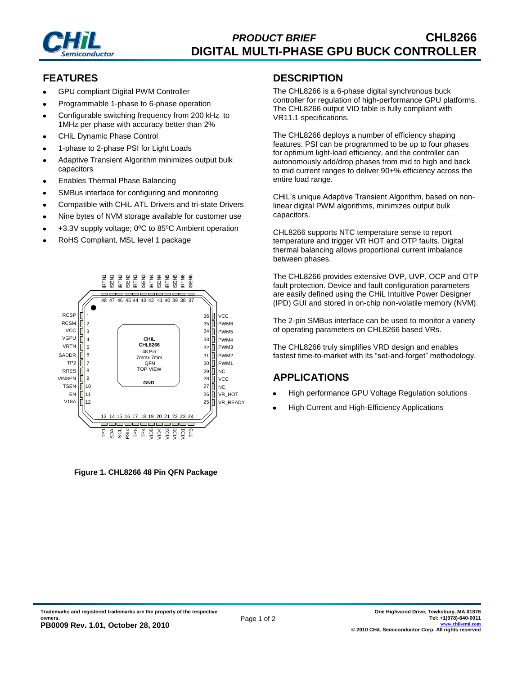

# **FEATURES**

- GPU compliant Digital PWM Controller
- Programmable 1-phase to 6-phase operation
- Configurable switching frequency from 200 kHz to 1MHz per phase with accuracy better than 2%
- CHiL Dynamic Phase Control
- 1-phase to 2-phase PSI for Light Loads
- Adaptive Transient Algorithm minimizes output bulk capacitors
- Enables Thermal Phase Balancing
- SMBus interface for configuring and monitoring
- Compatible with CHiL ATL Drivers and tri-state Drivers
- Nine bytes of NVM storage available for customer use
- +3.3V supply voltage; 0ºC to 85ºC Ambient operation
- RoHS Compliant, MSL level 1 package



**Figure 1. CHL8266 48 Pin QFN Package**

### **DESCRIPTION**

The CHL8266 is a 6-phase digital synchronous buck controller for regulation of high-performance GPU platforms. The CHL8266 output VID table is fully compliant with VR11.1 specifications.

The CHL8266 deploys a number of efficiency shaping features. PSI can be programmed to be up to four phases for optimum light-load efficiency, and the controller can autonomously add/drop phases from mid to high and back to mid current ranges to deliver 90+% efficiency across the entire load range.

CHiL's unique Adaptive Transient Algorithm, based on nonlinear digital PWM algorithms, minimizes output bulk capacitors.

CHL8266 supports NTC temperature sense to report temperature and trigger VR HOT and OTP faults. Digital thermal balancing allows proportional current imbalance between phases.

The CHL8266 provides extensive OVP, UVP, OCP and OTP fault protection. Device and fault configuration parameters are easily defined using the CHiL Intuitive Power Designer (IPD) GUI and stored in on-chip non-volatile memory (NVM).

The 2-pin SMBus interface can be used to monitor a variety of operating parameters on CHL8266 based VRs.

The CHL8266 truly simplifies VRD design and enables fastest time-to-market with its "set-and-forget" methodology.

# **APPLICATIONS**

- High performance GPU Voltage Regulation solutions
- High Current and High-Efficiency Applications